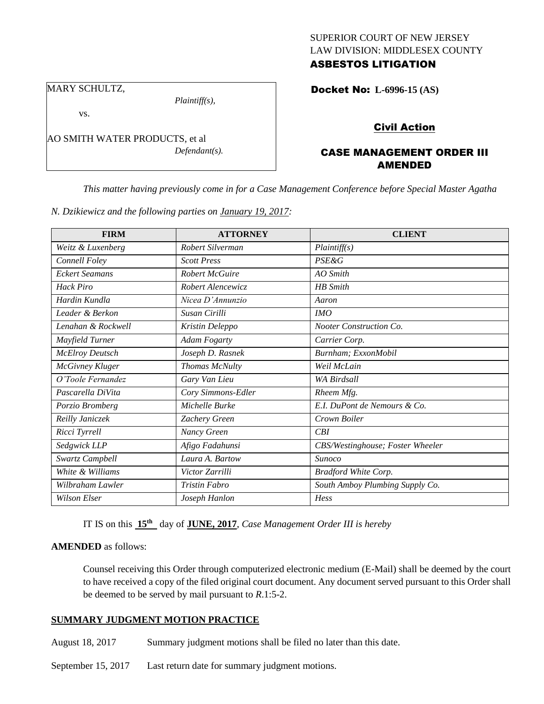### SUPERIOR COURT OF NEW JERSEY LAW DIVISION: MIDDLESEX COUNTY ASBESTOS LITIGATION

# MARY SCHULTZ,

vs.

*Plaintiff(s),*

AO SMITH WATER PRODUCTS, et al *Defendant(s).* Docket No: **L-6996-15 (AS)** 

# Civil Action

### CASE MANAGEMENT ORDER III AMENDED

*This matter having previously come in for a Case Management Conference before Special Master Agatha* 

|  |  | N. Dzikiewicz and the following parties on January 19, 2017: |
|--|--|--------------------------------------------------------------|
|  |  |                                                              |

| <b>FIRM</b>            | <b>ATTORNEY</b>       | <b>CLIENT</b>                    |
|------------------------|-----------------------|----------------------------------|
| Weitz & Luxenberg      | Robert Silverman      | Plaintiff(s)                     |
| Connell Foley          | <b>Scott Press</b>    | <b>PSE&amp;G</b>                 |
| <b>Eckert Seamans</b>  | <b>Robert McGuire</b> | $AO$ Smith                       |
| <b>Hack Piro</b>       | Robert Alencewicz     | <b>HB</b> Smith                  |
| Hardin Kundla          | Nicea D'Annunzio      | Aaron                            |
| Leader & Berkon        | Susan Cirilli         | <b>IMO</b>                       |
| Lenghan & Rockwell     | Kristin Deleppo       | Nooter Construction Co.          |
| Mayfield Turner        | Adam Fogarty          | Carrier Corp.                    |
| <b>McElroy Deutsch</b> | Joseph D. Rasnek      | Burnham; ExxonMobil              |
| <b>McGivney Kluger</b> | Thomas McNulty        | Weil McLain                      |
| O'Toole Fernandez      | Gary Van Lieu         | <b>WA Birdsall</b>               |
| Pascarella DiVita      | Cory Simmons-Edler    | Rheem Mfg.                       |
| Porzio Bromberg        | Michelle Burke        | E.I. DuPont de Nemours & Co.     |
| Reilly Janiczek        | Zachery Green         | Crown Boiler                     |
| Ricci Tyrrell          | Nancy Green           | CBI                              |
| Sedgwick LLP           | Afigo Fadahunsi       | CBS/Westinghouse; Foster Wheeler |
| Swartz Campbell        | Laura A. Bartow       | Sunoco                           |
| White & Williams       | Victor Zarrilli       | Bradford White Corp.             |
| Wilbraham Lawler       | Tristin Fabro         | South Amboy Plumbing Supply Co.  |
| <b>Wilson Elser</b>    | Joseph Hanlon         | Hess                             |

IT IS on this **15th** day of **JUNE, 2017**, *Case Management Order III is hereby*

### **AMENDED** as follows:

Counsel receiving this Order through computerized electronic medium (E-Mail) shall be deemed by the court to have received a copy of the filed original court document. Any document served pursuant to this Order shall be deemed to be served by mail pursuant to *R*.1:5-2.

## **SUMMARY JUDGMENT MOTION PRACTICE**

August 18, 2017 Summary judgment motions shall be filed no later than this date.

September 15, 2017 Last return date for summary judgment motions.